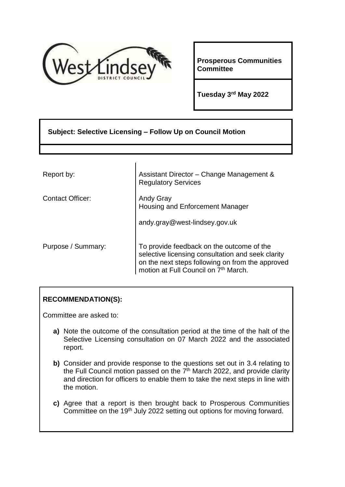

**Prosperous Communities Committee**

**Tuesday 3rd May 2022**

# **Subject: Selective Licensing – Follow Up on Council Motion**

| Report by:              | Assistant Director - Change Management &<br><b>Regulatory Services</b>                                                                                                                                 |  |  |
|-------------------------|--------------------------------------------------------------------------------------------------------------------------------------------------------------------------------------------------------|--|--|
| <b>Contact Officer:</b> | <b>Andy Gray</b><br>Housing and Enforcement Manager                                                                                                                                                    |  |  |
|                         | andy.gray@west-lindsey.gov.uk                                                                                                                                                                          |  |  |
| Purpose / Summary:      | To provide feedback on the outcome of the<br>selective licensing consultation and seek clarity<br>on the next steps following on from the approved<br>motion at Full Council on 7 <sup>th</sup> March. |  |  |

## **RECOMMENDATION(S):**

Committee are asked to:

- **a)** Note the outcome of the consultation period at the time of the halt of the Selective Licensing consultation on 07 March 2022 and the associated report.
- **b)** Consider and provide response to the questions set out in 3.4 relating to the Full Council motion passed on the 7<sup>th</sup> March 2022, and provide clarity and direction for officers to enable them to take the next steps in line with the motion.
- **c)** Agree that a report is then brought back to Prosperous Communities Committee on the 19<sup>th</sup> July 2022 setting out options for moving forward.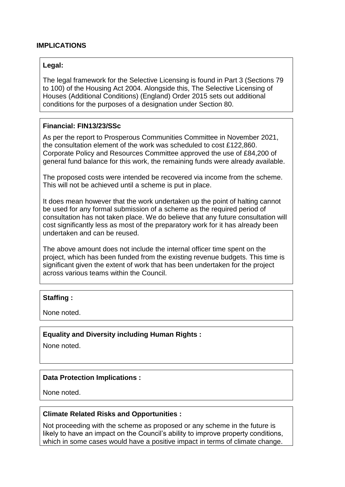### **IMPLICATIONS**

#### **Legal:**

The legal framework for the Selective Licensing is found in Part 3 (Sections 79 to 100) of the Housing Act 2004. Alongside this, The Selective Licensing of Houses (Additional Conditions) (England) Order 2015 sets out additional conditions for the purposes of a designation under Section 80.

#### **Financial: FIN13/23/SSc**

As per the report to Prosperous Communities Committee in November 2021, the consultation element of the work was scheduled to cost £122,860. Corporate Policy and Resources Committee approved the use of £84,200 of general fund balance for this work, the remaining funds were already available.

The proposed costs were intended be recovered via income from the scheme. This will not be achieved until a scheme is put in place.

It does mean however that the work undertaken up the point of halting cannot be used for any formal submission of a scheme as the required period of consultation has not taken place. We do believe that any future consultation will cost significantly less as most of the preparatory work for it has already been undertaken and can be reused.

The above amount does not include the internal officer time spent on the project, which has been funded from the existing revenue budgets. This time is significant given the extent of work that has been undertaken for the project across various teams within the Council.

### **Staffing :**

None noted.

#### **Equality and Diversity including Human Rights :**

None noted.

#### **Data Protection Implications :**

None noted.

#### **Climate Related Risks and Opportunities :**

Not proceeding with the scheme as proposed or any scheme in the future is likely to have an impact on the Council's ability to improve property conditions, which in some cases would have a positive impact in terms of climate change.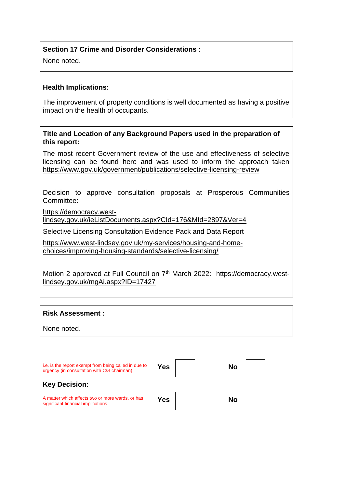## **Section 17 Crime and Disorder Considerations :**

None noted.

#### **Health Implications:**

The improvement of property conditions is well documented as having a positive impact on the health of occupants.

#### **Title and Location of any Background Papers used in the preparation of this report:**

The most recent Government review of the use and effectiveness of selective licensing can be found here and was used to inform the approach taken <https://www.gov.uk/government/publications/selective-licensing-review>

Decision to approve consultation proposals at Prosperous Communities Committee:

[https://democracy.west-](https://democracy.west-lindsey.gov.uk/ieListDocuments.aspx?CId=176&MId=2897&Ver=4)

[lindsey.gov.uk/ieListDocuments.aspx?CId=176&MId=2897&Ver=4](https://democracy.west-lindsey.gov.uk/ieListDocuments.aspx?CId=176&MId=2897&Ver=4)

Selective Licensing Consultation Evidence Pack and Data Report

[https://www.west-lindsey.gov.uk/my-services/housing-and-home](https://www.west-lindsey.gov.uk/my-services/housing-and-home-choices/improving-housing-standards/selective-licensing/)[choices/improving-housing-standards/selective-licensing/](https://www.west-lindsey.gov.uk/my-services/housing-and-home-choices/improving-housing-standards/selective-licensing/)

Motion 2 approved at Full Council on 7<sup>th</sup> March 2022: [https://democracy.west](https://democracy.west-lindsey.gov.uk/mgAi.aspx?ID=17427)[lindsey.gov.uk/mgAi.aspx?ID=17427](https://democracy.west-lindsey.gov.uk/mgAi.aspx?ID=17427)

### **Risk Assessment :**

None noted.

| i.e. is the report exempt from being called in due to<br>urgency (in consultation with C&I chairman) | Yes | No |  |
|------------------------------------------------------------------------------------------------------|-----|----|--|
| <b>Key Decision:</b>                                                                                 |     |    |  |
| A matter which affects two or more wards, or has<br>significant financial implications               | Yes | Nο |  |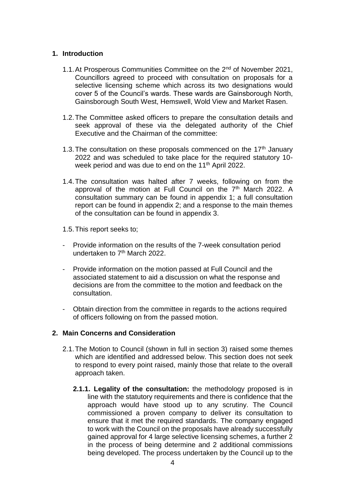## **1. Introduction**

- 1.1. At Prosperous Communities Committee on the 2<sup>nd</sup> of November 2021, Councillors agreed to proceed with consultation on proposals for a selective licensing scheme which across its two designations would cover 5 of the Council's wards. These wards are Gainsborough North, Gainsborough South West, Hemswell, Wold View and Market Rasen.
- 1.2.The Committee asked officers to prepare the consultation details and seek approval of these via the delegated authority of the Chief Executive and the Chairman of the committee:
- 1.3. The consultation on these proposals commenced on the  $17<sup>th</sup>$  January 2022 and was scheduled to take place for the required statutory 10 week period and was due to end on the 11<sup>th</sup> April 2022.
- 1.4.The consultation was halted after 7 weeks, following on from the approval of the motion at Full Council on the 7<sup>th</sup> March 2022. A consultation summary can be found in appendix 1; a full consultation report can be found in appendix 2; and a response to the main themes of the consultation can be found in appendix 3.
- 1.5.This report seeks to;
- Provide information on the results of the 7-week consultation period undertaken to  $7<sup>th</sup>$  March 2022.
- Provide information on the motion passed at Full Council and the associated statement to aid a discussion on what the response and decisions are from the committee to the motion and feedback on the consultation.
- Obtain direction from the committee in regards to the actions required of officers following on from the passed motion.

## **2. Main Concerns and Consideration**

- 2.1.The Motion to Council (shown in full in section 3) raised some themes which are identified and addressed below. This section does not seek to respond to every point raised, mainly those that relate to the overall approach taken.
	- **2.1.1. Legality of the consultation:** the methodology proposed is in line with the statutory requirements and there is confidence that the approach would have stood up to any scrutiny. The Council commissioned a proven company to deliver its consultation to ensure that it met the required standards. The company engaged to work with the Council on the proposals have already successfully gained approval for 4 large selective licensing schemes, a further 2 in the process of being determine and 2 additional commissions being developed. The process undertaken by the Council up to the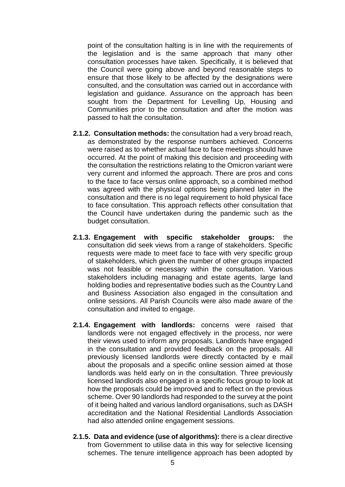point of the consultation halting is in line with the requirements of the legislation and is the same approach that many other consultation processes have taken. Specifically, it is believed that the Council were going above and beyond reasonable steps to ensure that those likely to be affected by the designations were consulted, and the consultation was carried out in accordance with legislation and guidance. Assurance on the approach has been sought from the Department for Levelling Up, Housing and Communities prior to the consultation and after the motion was passed to halt the consultation.

- **2.1.2. Consultation methods:** the consultation had a very broad reach, as demonstrated by the response numbers achieved. Concerns were raised as to whether actual face to face meetings should have occurred. At the point of making this decision and proceeding with the consultation the restrictions relating to the Omicron variant were very current and informed the approach. There are pros and cons to the face to face versus online approach, so a combined method was agreed with the physical options being planned later in the consultation and there is no legal requirement to hold physical face to face consultation. This approach reflects other consultation that the Council have undertaken during the pandemic such as the budget consultation.
- **2.1.3. Engagement with specific stakeholder groups:** the consultation did seek views from a range of stakeholders. Specific requests were made to meet face to face with very specific group of stakeholders, which given the number of other groups impacted was not feasible or necessary within the consultation. Various stakeholders including managing and estate agents, large land holding bodies and representative bodies such as the Country Land and Business Association also engaged in the consultation and online sessions. All Parish Councils were also made aware of the consultation and invited to engage.
- **2.1.4. Engagement with landlords:** concerns were raised that landlords were not engaged effectively in the process, nor were their views used to inform any proposals. Landlords have engaged in the consultation and provided feedback on the proposals. All previously licensed landlords were directly contacted by e mail about the proposals and a specific online session aimed at those landlords was held early on in the consultation. Three previously licensed landlords also engaged in a specific focus group to look at how the proposals could be improved and to reflect on the previous scheme. Over 90 landlords had responded to the survey at the point of it being halted and various landlord organisations, such as DASH accreditation and the National Residential Landlords Association had also attended online engagement sessions.
- **2.1.5. Data and evidence (use of algorithms):** there is a clear directive from Government to utilise data in this way for selective licensing schemes. The tenure intelligence approach has been adopted by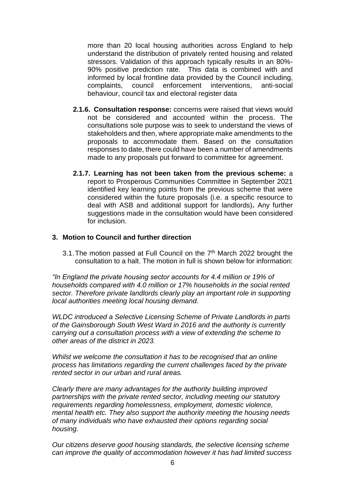more than 20 local housing authorities across England to help understand the distribution of privately rented housing and related stressors. Validation of this approach typically results in an 80%- 90% positive prediction rate. This data is combined with and informed by local frontline data provided by the Council including, complaints, council enforcement interventions, anti-social behaviour, council tax and electoral register data

- **2.1.6. Consultation response:** concerns were raised that views would not be considered and accounted within the process. The consultations sole purpose was to seek to understand the views of stakeholders and then, where appropriate make amendments to the proposals to accommodate them. Based on the consultation responses to date, there could have been a number of amendments made to any proposals put forward to committee for agreement.
- **2.1.7. Learning has not been taken from the previous scheme:** a report to Prosperous Communities Committee in September 2021 identified key learning points from the previous scheme that were considered within the future proposals (i.e. a specific resource to deal with ASB and additional support for landlords)**.** Any further suggestions made in the consultation would have been considered for inclusion.

### **3. Motion to Council and further direction**

3.1. The motion passed at Full Council on the 7<sup>th</sup> March 2022 brought the consultation to a halt. The motion in full is shown below for information:

*"In England the private housing sector accounts for 4.4 million or 19% of households compared with 4.0 million or 17% households in the social rented sector. Therefore private landlords clearly play an important role in supporting local authorities meeting local housing demand.*

*WLDC introduced a Selective Licensing Scheme of Private Landlords in parts of the Gainsborough South West Ward in 2016 and the authority is currently carrying out a consultation process with a view of extending the scheme to other areas of the district in 2023.*

*Whilst we welcome the consultation it has to be recognised that an online process has limitations regarding the current challenges faced by the private rented sector in our urban and rural areas.*

*Clearly there are many advantages for the authority building improved partnerships with the private rented sector, including meeting our statutory requirements regarding homelessness, employment, domestic violence, mental health etc. They also support the authority meeting the housing needs of many individuals who have exhausted their options regarding social housing.*

*Our citizens deserve good housing standards, the selective licensing scheme can improve the quality of accommodation however it has had limited success*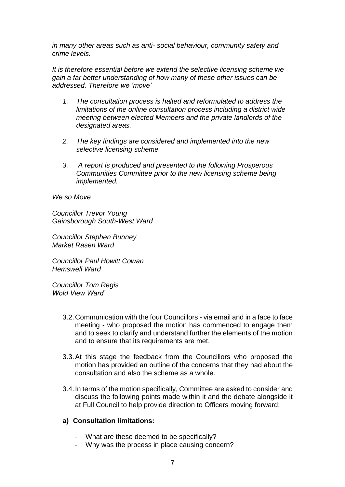*in many other areas such as anti- social behaviour, community safety and crime levels.*

*It is therefore essential before we extend the selective licensing scheme we gain a far better understanding of how many of these other issues can be addressed, Therefore we 'move'*

- *1. The consultation process is halted and reformulated to address the limitations of the online consultation process including a district wide meeting between elected Members and the private landlords of the designated areas.*
- *2. The key findings are considered and implemented into the new selective licensing scheme.*
- *3. A report is produced and presented to the following Prosperous Communities Committee prior to the new licensing scheme being implemented.*

*We so Move*

*Councillor Trevor Young Gainsborough South-West Ward*

*Councillor Stephen Bunney Market Rasen Ward*

*Councillor Paul Howitt Cowan Hemswell Ward*

*Councillor Tom Regis Wold View Ward"*

- 3.2.Communication with the four Councillors via email and in a face to face meeting - who proposed the motion has commenced to engage them and to seek to clarify and understand further the elements of the motion and to ensure that its requirements are met.
- 3.3.At this stage the feedback from the Councillors who proposed the motion has provided an outline of the concerns that they had about the consultation and also the scheme as a whole.
- 3.4.In terms of the motion specifically, Committee are asked to consider and discuss the following points made within it and the debate alongside it at Full Council to help provide direction to Officers moving forward:

### **a) Consultation limitations:**

- What are these deemed to be specifically?
- Why was the process in place causing concern?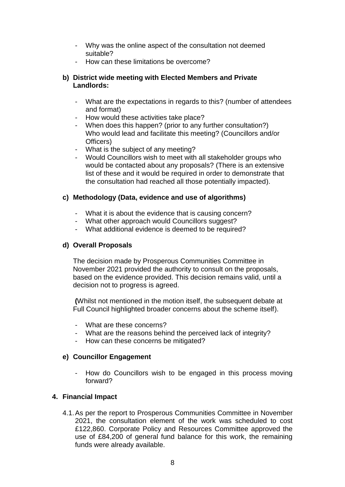- Why was the online aspect of the consultation not deemed suitable?
- How can these limitations be overcome?

## **b) District wide meeting with Elected Members and Private Landlords:**

- What are the expectations in regards to this? (number of attendees and format)
- How would these activities take place?
- When does this happen? (prior to any further consultation?) Who would lead and facilitate this meeting? (Councillors and/or Officers)
- What is the subject of any meeting?
- Would Councillors wish to meet with all stakeholder groups who would be contacted about any proposals? (There is an extensive list of these and it would be required in order to demonstrate that the consultation had reached all those potentially impacted).

## **c) Methodology (Data, evidence and use of algorithms)**

- What it is about the evidence that is causing concern?
- What other approach would Councillors suggest?
- What additional evidence is deemed to be required?

### **d) Overall Proposals**

The decision made by Prosperous Communities Committee in November 2021 provided the authority to consult on the proposals, based on the evidence provided. This decision remains valid, until a decision not to progress is agreed.

**(**Whilst not mentioned in the motion itself, the subsequent debate at Full Council highlighted broader concerns about the scheme itself).

- What are these concerns?
- What are the reasons behind the perceived lack of integrity?
- How can these concerns be mitigated?

### **e) Councillor Engagement**

How do Councillors wish to be engaged in this process moving forward?

### **4. Financial Impact**

4.1.As per the report to Prosperous Communities Committee in November 2021, the consultation element of the work was scheduled to cost £122,860. Corporate Policy and Resources Committee approved the use of £84,200 of general fund balance for this work, the remaining funds were already available.